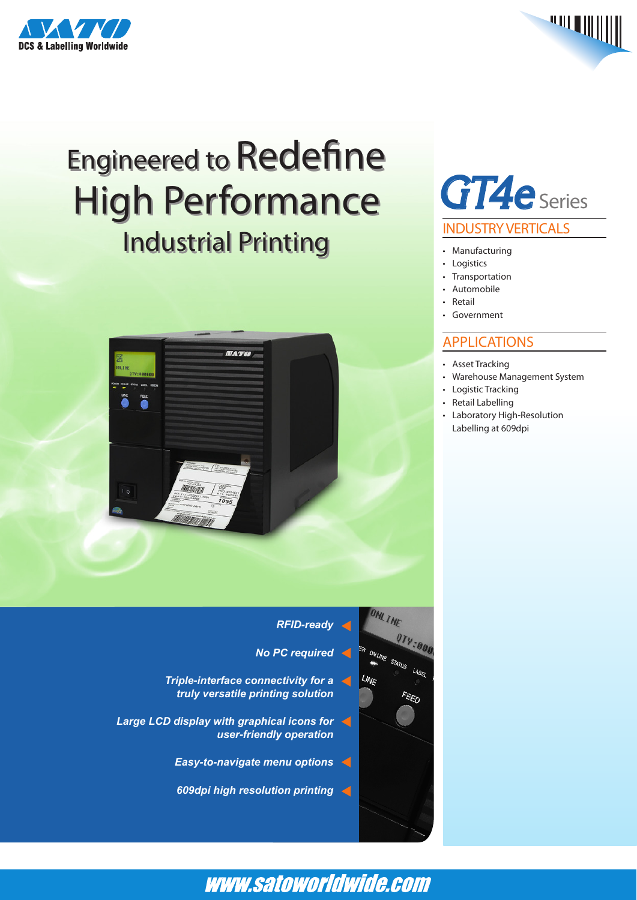



# Engineered to Redefine Engineered to Redefine High Performance High Performance Industrial Printing Industrial Printing



## *GT4e* Series INDUSTRY VERTICALS

- • Manufacturing
- • Logistics
- **Transportation**
- **Automobile**
- **Retail**
- • Government

### APPLICATIONS

- • Asset Tracking
- • Warehouse Management System
- • Logistic Tracking
- • Retail Labelling
- • Laboratory High-Resolution Labelling at 609dpi

### *RFID-ready No PC required Triple-interface connectivity for a truly versatile printing solution*

- *Large LCD display with graphical icons for user-friendly operation*
	- *Easy-to-navigate menu options*
	- *609dpi high resolution printing*



### www.satoworldwide.com